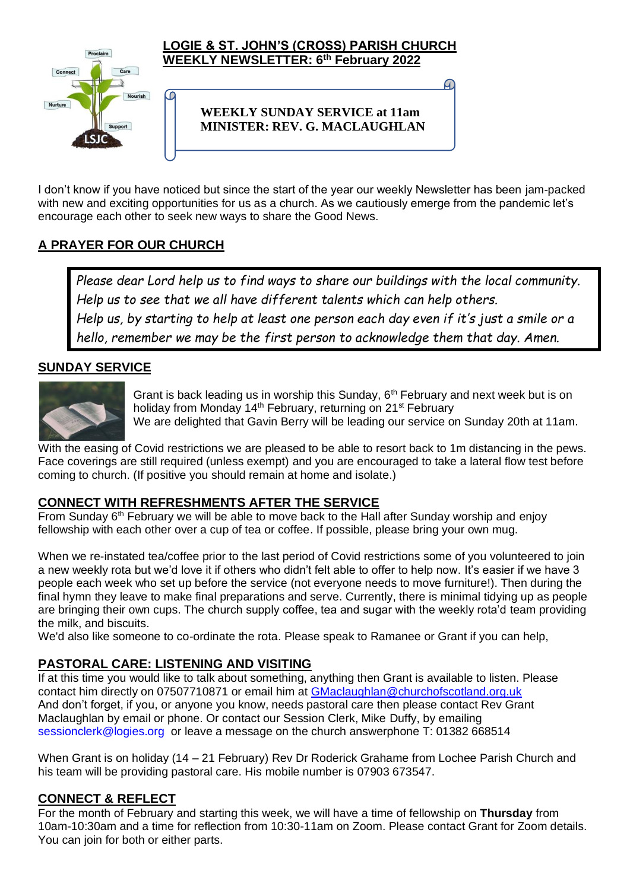

#### **LOGIE & ST. JOHN'S (CROSS) PARISH CHURCH WEEKLY NEWSLETTER: 6 th February 2022**

## **WEEKLY SUNDAY SERVICE at 11am MINISTER: REV. G. MACLAUGHLAN**

I don't know if you have noticed but since the start of the year our weekly Newsletter has been jam-packed with new and exciting opportunities for us as a church. As we cautiously emerge from the pandemic let's encourage each other to seek new ways to share the Good News.

# **A PRAYER FOR OUR CHURCH**

f.

*Please dear Lord help us to find ways to share our buildings with the local community. Help us to see that we all have different talents which can help others. Help us, by starting to help at least one person each day even if it's just a smile or a hello, remember we may be the first person to acknowledge them that day. Amen.*

# **SUNDAY SERVICE**



Grant is back leading us in worship this Sunday,  $6<sup>th</sup>$  February and next week but is on holiday from Monday 14<sup>th</sup> February, returning on 21<sup>st</sup> February We are delighted that Gavin Berry will be leading our service on Sunday 20th at 11am.

With the easing of Covid restrictions we are pleased to be able to resort back to 1m distancing in the pews. Face coverings are still required (unless exempt) and you are encouraged to take a lateral flow test before coming to church. (If positive you should remain at home and isolate.)

## **CONNECT WITH REFRESHMENTS AFTER THE SERVICE**

From Sunday  $6<sup>th</sup>$  February we will be able to move back to the Hall after Sunday worship and enjoy fellowship with each other over a cup of tea or coffee. If possible, please bring your own mug.

When we re-instated tea/coffee prior to the last period of Covid restrictions some of you volunteered to join a new weekly rota but we'd love it if others who didn't felt able to offer to help now. It's easier if we have 3 people each week who set up before the service (not everyone needs to move furniture!). Then during the final hymn they leave to make final preparations and serve. Currently, there is minimal tidying up as people are bringing their own cups. The church supply coffee, tea and sugar with the weekly rota'd team providing the milk, and biscuits.

We'd also like someone to co-ordinate the rota. Please speak to Ramanee or Grant if you can help,

## **PASTORAL CARE: LISTENING AND VISITING**

If at this time you would like to talk about something, anything then Grant is available to listen. Please contact him directly on 07507710871 or email him at [GMaclaughlan@churchofscotland.org.uk](mailto:GMaclaughlan@churchofscotland.org.uk) And don't forget, if you, or anyone you know, needs pastoral care then please contact Rev Grant Maclaughlan by email or phone. Or contact our Session Clerk, Mike Duffy, by emailing [sessionclerk@logies.org](mailto:sessionclerk@logies.org) or leave a message on the church answerphone T: 01382 668514

When Grant is on holiday (14 – 21 February) Rev Dr Roderick Grahame from Lochee Parish Church and his team will be providing pastoral care. His mobile number is 07903 673547.

## **CONNECT & REFLECT**

For the month of February and starting this week, we will have a time of fellowship on **Thursday** from 10am-10:30am and a time for reflection from 10:30-11am on Zoom. Please contact Grant for Zoom details. You can join for both or either parts.